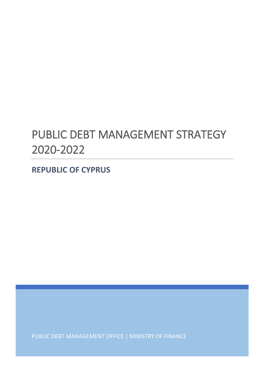# PUBLIC DEBT MANAGEMENT STRATEGY 2020-2022

**REPUBLIC OF CYPRUS**

PUBLIC DEBT MANAGEMENT OFFICE | MINISTRY OF FINANCE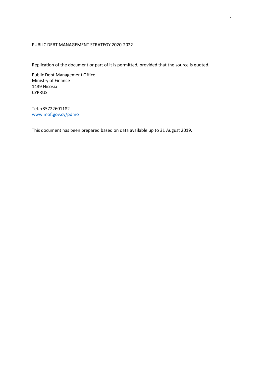## PUBLIC DEBT MANAGEMENT STRATEGY 2020-2022

Replication of the document or part of it is permitted, provided that the source is quoted.

Public Debt Management Office Ministry of Finance 1439 Nicosia CYPRUS

Tel. +35722601182 [www.mof.gov.cy/pdmo](http://www.mof.gov.cy/pdmo)

This document has been prepared based on data available up to 31 August 2019.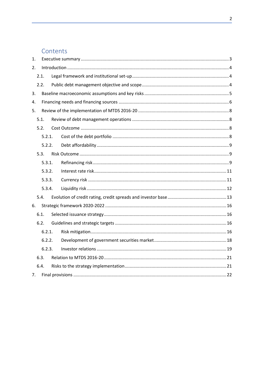# Contents

| 1.   |        |        |  |  |  |  |  |
|------|--------|--------|--|--|--|--|--|
| 2.   |        |        |  |  |  |  |  |
|      |        | 2.1.   |  |  |  |  |  |
| 2.2. |        |        |  |  |  |  |  |
| 3.   |        |        |  |  |  |  |  |
| 4.   |        |        |  |  |  |  |  |
| 5.   |        |        |  |  |  |  |  |
|      |        | 5.1.   |  |  |  |  |  |
|      | 5.2.   |        |  |  |  |  |  |
|      |        | 5.2.1. |  |  |  |  |  |
|      |        | 5.2.2. |  |  |  |  |  |
|      | 5.3.   |        |  |  |  |  |  |
|      | 5.3.1. |        |  |  |  |  |  |
|      |        | 5.3.2. |  |  |  |  |  |
|      |        | 5.3.3. |  |  |  |  |  |
|      |        | 5.3.4. |  |  |  |  |  |
|      | 5.4.   |        |  |  |  |  |  |
| 6.   |        |        |  |  |  |  |  |
| 6.1. |        |        |  |  |  |  |  |
|      | 6.2.   |        |  |  |  |  |  |
|      |        | 6.2.1. |  |  |  |  |  |
|      |        | 6.2.2. |  |  |  |  |  |
|      |        | 6.2.3. |  |  |  |  |  |
|      | 6.3.   |        |  |  |  |  |  |
|      | 6.4.   |        |  |  |  |  |  |
| 7.   |        |        |  |  |  |  |  |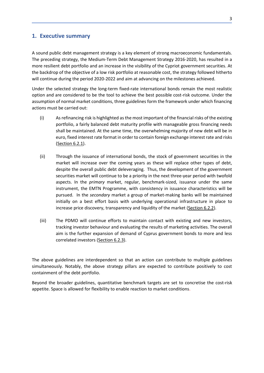# <span id="page-3-0"></span>**1. Executive summary**

A sound public debt management strategy is a key element of strong macroeconomic fundamentals. The preceding strategy, the Medium-Term Debt Management Strategy 2016-2020, has resulted in a more resilient debt portfolio and an increase in the visibility of the Cypriot government securities. At the backdrop of the objective of a low risk portfolio at reasonable cost, the strategy followed hitherto will continue during the period 2020-2022 and aim at advancing on the milestones achieved.

Under the selected strategy the long-term fixed-rate international bonds remain the most realistic option and are considered to be the tool to achieve the best possible cost-risk outcome. Under the assumption of normal market conditions, three guidelines form the framework under which financing actions must be carried out:

- (i) As refinancing risk is highlighted as the most important of the financial risks of the existing portfolio, a fairly balanced debt maturity profile with manageable gross financing needs shall be maintained. At the same time, the overwhelming majority of new debt will be in euro, fixed interest rate format in order to contain foreign exchange interest rate and risks (Section [6.2.1\)](#page-16-3).
- (ii) Through the issuance of international bonds, the stock of government securities in the market will increase over the coming years as these will replace other types of debt, despite the overall public debt deleveraging. Thus, the development of the government securities market will continue to be a priority in the next three-year period with twofold aspects. In the *primary* market, regular, benchmark-sized, issuance under the same instrument, the EMTN Programme, with consistency in issuance characteristics will be pursued. In the *secondary* market a group of market-making banks will be maintained initially on a best effort basis with underlying operational infrastructure in place to increase price discovery, transparency and liquidity of the market (Sectio[n 6.2.2\)](#page-18-0).
- (iii) The PDMO will continue efforts to maintain contact with existing and new investors, tracking investor behaviour and evaluating the results of marketing activities. The overall aim is the further expansion of demand of Cyprus government bonds to more and less correlated investors (Section [6.2.3\)](#page-19-0).

The above guidelines are interdependent so that an action can contribute to multiple guidelines simultaneously. Notably, the above strategy pillars are expected to contribute positively to cost containment of the debt portfolio.

Beyond the broader guidelines, quantitative benchmark targets are set to concretise the cost-risk appetite. Space is allowed for flexibility to enable reaction to market conditions.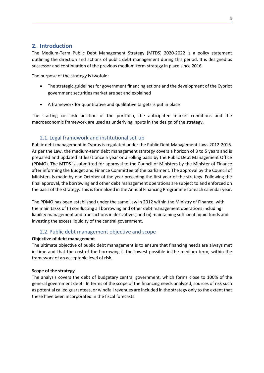# <span id="page-4-0"></span>**2. Introduction**

The Medium-Term Public Debt Management Strategy (MTDS) 2020-2022 is a policy statement outlining the direction and actions of public debt management during this period. It is designed as successor and continuation of the previous medium-term strategy in place since 2016.

The purpose of the strategy is twofold:

- The strategic guidelines for government financing actions and the development of the Cypriot government securities market are set and explained
- A framework for quantitative and qualitative targets is put in place

The starting cost-risk position of the portfolio, the anticipated market conditions and the macroeconomic framework are used as underlying inputs in the design of the strategy.

# <span id="page-4-1"></span>2.1. Legal framework and institutional set-up

Public debt management in Cyprus is regulated under the Public Debt Management Laws 2012-2016. As per the Law, the medium-term debt management strategy covers a horizon of 3 to 5 years and is prepared and updated at least once a year or a rolling basis by the Public Debt Management Office (PDMO). The MTDS is submitted for approval to the Council of Ministers by the Minister of Finance after informing the Budget and Finance Committee of the parliament. The approval by the Council of Ministers is made by end October of the year preceding the first year of the strategy. Following the final approval, the borrowing and other debt management operations are subject to and enforced on the basis of the strategy. This is formalized in the Annual Financing Programme for each calendar year.

The PDMO has been established under the same Law in 2012 within the Ministry of Finance, with the main tasks of (i) conducting all borrowing and other debt management operations including liability management and transactions in derivatives; and (ii) maintaining sufficient liquid funds and investing the excess liquidity of the central government.

# 2.2. Public debt management objective and scope

# <span id="page-4-2"></span>**Objective of debt management**

The ultimate objective of public debt management is to ensure that financing needs are always met in time and that the cost of the borrowing is the lowest possible in the medium term, within the framework of an acceptable level of risk.

# **Scope of the strategy**

The analysis covers the debt of budgetary central government, which forms close to 100% of the general government debt. In terms of the scope of the financing needs analysed, sources of risk such as potential called guarantees, or windfall revenues are included in the strategy only to the extent that these have been incorporated in the fiscal forecasts.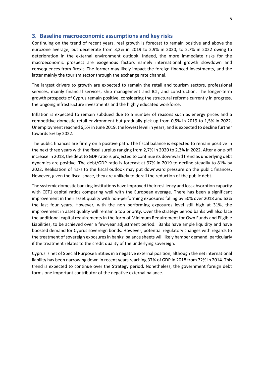## <span id="page-5-0"></span>**3. Baseline macroeconomic assumptions and key risks**

Continuing on the trend of recent years, real growth is forecast to remain positive and above the eurozone average, but decelerate from 3,2% in 2019 to 2,9% in 2020, to 2,7% in 2022 owing to deterioration in the external environment outlook. Indeed, the more immediate risks for the macroeconomic prospect are exogenous factors namely international growth slowdown and consequences from Brexit. The former may likely impact the foreign-financed investments, and the latter mainly the tourism sector through the exchange rate channel.

The largest drivers to growth are expected to remain the retail and tourism sectors, professional services, mainly financial services, ship management and ICT, and construction. The longer-term growth prospects of Cyprus remain positive, considering the structural reforms currently in progress, the ongoing infrastructure investments and the highly educated workforce.

Inflation is expected to remain subdued due to a number of reasons such as energy prices and a competitive domestic retail environment but gradually pick up from 0,5% in 2019 to 1,5% in 2022. Unemployment reached 6,5% in June 2019, the lowest level in years, and is expected to decline further towards 5% by 2022.

The public finances are firmly on a positive path. The fiscal balance is expected to remain positive in the next three years with the fiscal surplus ranging from 2,7% in 2020 to 2,3% in 2022. After a one-off increase in 2018, the debt to GDP ratio is projected to continue its downward trend as underlying debt dynamics are positive. The debt/GDP ratio is forecast at 97% in 2019 to decline steadily to 81% by 2022. Realisation of risks to the fiscal outlook may put downward pressure on the public finances. However, given the fiscal space, they are unlikely to derail the reduction of the public debt.

The systemic domestic banking institutions have improved their resiliency and loss absorption capacity with CET1 capital ratios comparing well with the European average. There has been a significant improvement in their asset quality with non-performing exposures falling by 50% over 2018 and 63% the last four years. However, with the non performing exposures level still high at 31%, the improvement in asset quality will remain a top priority. Over the strategy period banks will also face the additional capital requirements in the form of Minimum Requirement for Own Funds and Eligible Liabilities, to be achieved over a few-year adjustment period. Banks have ample liquidity and have boosted demand for Cyprus sovereign bonds. However, potential regulatory changes with regards to the treatment of sovereign exposures in banks' balance sheets will likely hamper demand, particularly if the treatment relates to the credit quality of the underlying sovereign.

Cyprus is net of Special Purpose Entities in a negative external position, although the net international liability has been narrowing down in recent years reaching 37% of GDP in 2018 from 72% in 2014. This trend is expected to continue over the Strategy period. Nonetheless, the government foreign debt forms one important contributor of the negative external balance.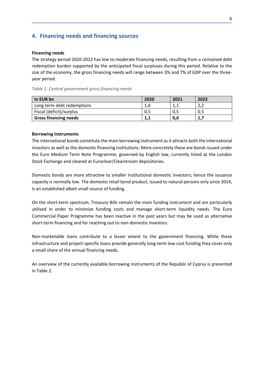# <span id="page-6-0"></span>**4. Financing needs and financing sources**

#### **Financing needs**

The strategy period 2020-2022 has low to moderate financing needs, resulting from a contained debt redemption burden supported by the anticipated fiscal surpluses during this period. Relative to the size of the economy, the gross financing needs will range between 3% and 7% of GDP over the threeyear period.

#### *Table 1: Central government gross financing needs*

| In EUR bn                    | 2020 | 2021 | 2022       |
|------------------------------|------|------|------------|
| Long term debt redemptions   | 1,6  |      | າ າ<br>z,z |
| Fiscal (deficit)/surplus     | 0,5  | 0,5  | 0,5        |
| <b>Gross financing needs</b> | 1,1  | 0,6  | 1,7        |

#### **Borrowing instruments**

The international bonds constitute the main borrowing instrument as it attracts both the international investors as well as the domestic financing institutions. More concretely these are bonds issued under the Euro Medium Term Note Programme, governed by English law, currently listed at the London Stock Exchange and cleared at Euroclear/Clearstream depositories.

Domestic bonds are more attractive to smaller institutional domestic investors; hence the issuance capacity is normally low. The domestic retail bond product, issued to natural persons only since 2014, is an established albeit small source of funding.

On the short-term spectrum, Treasury Bills remain the main funding instrument and are particularly utilised in order to minimize funding costs and manage short-term liquidity needs. The Euro Commercial Paper Programme has been inactive in the past years but may be used as alternative short-term financing and for reaching out to non-domestic investors.

Non-marketable loans contribute to a lesser extent to the government financing. While these infrastructure and project-specific loans provide generally long-term low-cost funding they cover only a small share of the annual financing needs.

An overview of the currently available borrowing instruments of the Republic of Cyprus is presented in Table 2.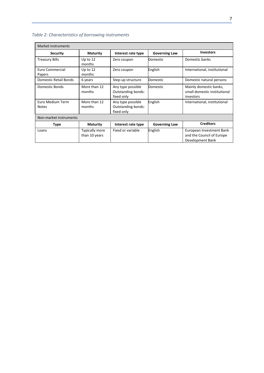| <b>Market instruments</b>        |                                        |                                                              |                      |                                                                           |  |  |  |  |  |
|----------------------------------|----------------------------------------|--------------------------------------------------------------|----------------------|---------------------------------------------------------------------------|--|--|--|--|--|
| <b>Security</b>                  | <b>Maturity</b>                        | Interest rate type                                           | <b>Governing Law</b> | <b>Investors</b>                                                          |  |  |  |  |  |
| <b>Treasury Bills</b>            | Up to $12$<br>months                   | Zero coupon                                                  | Domestic             | Domestic banks                                                            |  |  |  |  |  |
| Euro Commercial<br>Papers        | Up to $12$<br>months                   | Zero coupon                                                  | English              | International, institutional                                              |  |  |  |  |  |
| Domestic Retail Bonds            | 6 years                                | Step-up structure                                            | Domestic             | Domestic natural persons                                                  |  |  |  |  |  |
| Domestic Bonds                   | More than 12<br>months                 | Any type possible<br><b>Outstanding bonds:</b><br>fixed only | Domestic             | Mainly domestic banks,<br>small domestic institutional<br>investors       |  |  |  |  |  |
| Euro Medium Term<br><b>Notes</b> | More than 12<br>months                 | Any type possible<br><b>Outstanding bonds:</b><br>fixed only | English              | International, institutional                                              |  |  |  |  |  |
| Non-market instruments           |                                        |                                                              |                      |                                                                           |  |  |  |  |  |
| <b>Type</b>                      | <b>Maturity</b>                        | Interest rate type                                           | <b>Governing Law</b> | <b>Creditors</b>                                                          |  |  |  |  |  |
| Loans                            | <b>Typically more</b><br>than 10 years | Fixed or variable                                            | English              | European Investment Bank<br>and the Council of Europe<br>Development Bank |  |  |  |  |  |

# *Table 2: Characteristics of borrowing instruments*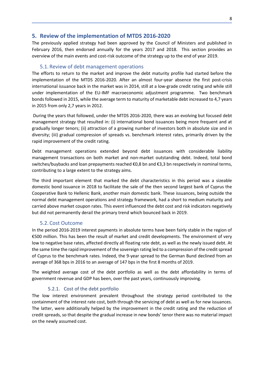# <span id="page-8-0"></span>**5. Review of the implementation of MTDS 2016-2020**

The previously applied strategy had been approved by the Council of Ministers and published in February 2016, then endorsed annually for the years 2017 and 2018. This section provides an overview of the main events and cost-risk outcome of the strategy up to the end of year 2019.

# 5.1. Review of debt management operations

<span id="page-8-1"></span>The efforts to return to the market and improve the debt maturity profile had started before the implementation of the MTDS 2016-2020. After an almost four-year absence the first post-crisis international issuance back in the market was in 2014, still at a low-grade credit rating and while still under implementation of the EU-IMF macroeconomic adjustment programme. Two benchmark bonds followed in 2015, while the average term to maturity of marketable debt increased to 4,7 years in 2015 from only 2,7 years in 2012.

During the years that followed, under the MTDS 2016-2020, there was an evolving but focused debt management strategy that resulted in: (i) international bond issuances being more frequent and at gradually longer tenors; (ii) attraction of a growing number of investors both in absolute size and in diversity; (iii) gradual compression of spreads vs. benchmark interest rates, primarily driven by the rapid improvement of the credit rating.

Debt management operations extended beyond debt issuances with considerable liability management transactions on both market and non-market outstanding debt. Indeed, total bond switches/buybacks and loan prepayments reached €0,8 bn and €3,3 bn respectively in nominal terms, contributing to a large extent to the strategy aims.

The third important element that marked the debt characteristics in this period was a sizeable domestic bond issuance in 2018 to facilitate the sale of the then second largest bank of Cyprus the Cooperative Bank to Hellenic Bank, another main domestic bank. These issuances, being outside the normal debt management operations and strategy framework, had a short to medium maturity and carried above market coupon rates. This event influenced the debt cost and risk indicators negatively but did not permanently derail the primary trend which bounced back in 2019.

## 5.2. Cost Outcome

<span id="page-8-2"></span>In the period 2016-2019 interest payments in absolute terms have been fairly stable in the region of €500 million. This has been the result of market and credit developments. The environment of very low to negative base rates, affected directly all floating rate debt, as well as the newly issued debt. At the same time the rapid improvement of the sovereign rating led to a compression of the credit spread of Cyprus to the benchmark rates. Indeed, the 9-year spread to the German Bund declined from an average of 368 bps in 2016 to an average of 147 bps in the first 8 months of 2019.

The weighted average cost of the debt portfolio as well as the debt affordability in terms of government revenue and GDP has been, over the past years, continuously improving.

## 5.2.1. Cost of the debt portfolio

<span id="page-8-3"></span>The low interest environment prevalent throughout the strategy period contributed to the containment of the interest rate cost, both through the servicing of debt as well as for new issuances. The latter, were additionally helped by the improvement in the credit rating and the reduction of credit spreads, so that despite the gradual increase in new bonds' tenor there was no material impact on the newly assumed cost.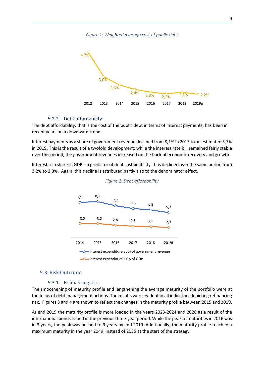*Figure 1: Weighted average cost of public debt*



## 5.2.2. Debt affordability

<span id="page-9-0"></span>The debt affordability, that is the cost of the public debt in terms of interest payments, has been in recent years on a downward trend.

Interest payments as a share of government revenue declined from 8,1% in 2015 to an estimated 5,7% in 2019. This is the result of a twofold development: while the interest rate bill remained fairly stable over this period, the government revenues increased on the back of economic recovery and growth.

Interest as a share of GDP – a predictor of debt sustainability - has declined over the same period from 3,2% to 2,3%. Again, this decline is attributed partly also to the denominator effect.





#### <span id="page-9-1"></span>5.3. Risk Outcome

#### 5.3.1. Refinancing risk

<span id="page-9-2"></span>The smoothening of maturity profile and lengthening the average maturity of the portfolio were at the focus of debt management actions. The results were evident in all indicators depicting refinancing risk. Figures 3 and 4 are shown to reflect the changes in the maturity profile between 2015 and 2019.

At end 2019 the maturity profile is more loaded in the years 2023-2024 and 2028 as a result of the international bonds issued in the previous three-year period. While the peak of maturities in 2016 was in 3 years, the peak was pushed to 9 years by end 2019. Additionally, the maturity profile reached a maximum maturity in the year 2049, instead of 2035 at the start of the strategy.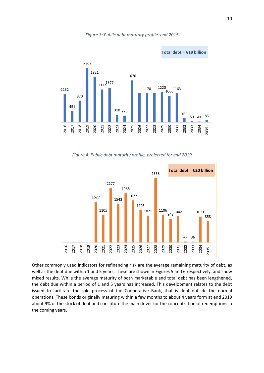*Figure 3: Public debt maturity profile, end 2015*



*Figure 4: Public debt maturity profile, projected for end 2019* 



Other commonly used indicators for refinancing risk are the average remaining maturity of debt, as well as the debt due within 1 and 5 years. These are shown in Figures 5 and 6 respectively, and show mixed results. While the average maturity of both marketable and total debt has been lengthened, the debt due within a period of 1 and 5 years has increased. This development relates to the debt issued to facilitate the sale process of the Cooperative Bank, that is debt outside the normal operations. These bonds originally maturing within a few months to about 4 years form at end 2019 about 9% of the stock of debt and constitute the main driver for the concentration of redemptions in the coming years.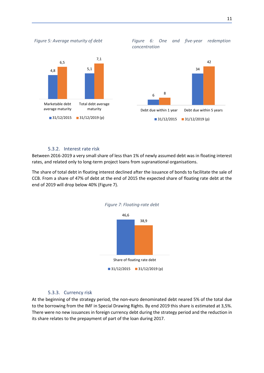

Marketable debt average maturity

*Figure 5: Average maturity of debt Figure 6: One and five-year redemption concentration*



## 5.3.2. Interest rate risk

31/12/2015 31/12/2019 (p)

Total debt average maturity

<span id="page-11-0"></span>Between 2016-2019 a very small share of less than 1% of newly assumed debt was in floating interest rates, and related only to long-term project loans from supranational organisations.

The share of total debt in floating interest declined after the issuance of bonds to facilitate the sale of CCB. From a share of 47% of debt at the end of 2015 the expected share of floating rate debt at the end of 2019 will drop below 40% (Figure 7).



#### *Figure 7: Floating-rate debt*

#### 5.3.3. Currency risk

<span id="page-11-1"></span>At the beginning of the strategy period, the non-euro denominated debt neared 5% of the total due to the borrowing from the IMF in Special Drawing Rights. By end 2019 this share is estimated at 3,5%. There were no new issuances in foreign currency debt during the strategy period and the reduction in its share relates to the prepayment of part of the loan during 2017.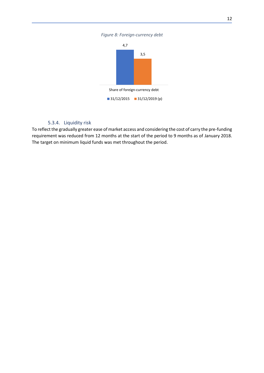*Figure 8: Foreign-currency debt*



# 5.3.4. Liquidity risk

<span id="page-12-0"></span>To reflect the gradually greater ease of market access and considering the cost of carry the pre-funding requirement was reduced from 12 months at the start of the period to 9 months as of January 2018. The target on minimum liquid funds was met throughout the period.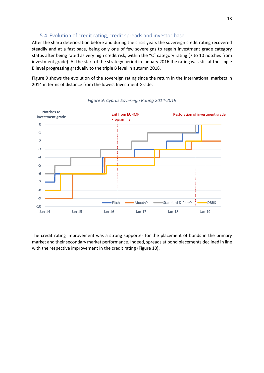# 5.4. Evolution of credit rating, credit spreads and investor base

<span id="page-13-0"></span>After the sharp deterioration before and during the crisis years the sovereign credit rating recovered steadily and at a fast pace, being only one of few sovereigns to regain investment grade category status after being rated as very high credit risk, within the "C" category rating (7 to 10 notches from investment grade). At the start of the strategy period in January 2016 the rating was still at the single B level progressing gradually to the triple B level in autumn 2018.

Figure 9 shows the evolution of the sovereign rating since the return in the international markets in 2014 in terms of distance from the lowest Investment Grade.



*Figure 9: Cyprus Sovereign Rating 2014-2019*

The credit rating improvement was a strong supporter for the placement of bonds in the primary market and their secondary market performance. Indeed, spreads at bond placements declined in line with the respective improvement in the credit rating (Figure 10).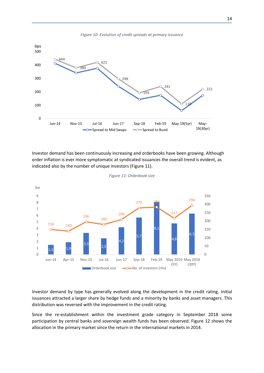

Investor demand has been continuously increasing and orderbooks have been growing. Although order inflation is ever more symptomatic at syndicated issuances the overall trend is evident, as indicated also by the number of unique investors (Figure 11).



```
Figure 11: Orderbook size
```
Investor demand by type has generally evolved along the development in the credit rating. Initial issuances attracted a larger share by hedge funds and a minority by banks and asset managers. This distribution was reversed with the improvement in the credit rating.

Since the re-establishment within the investment grade category in September 2018 some participation by central banks and sovereign wealth funds has been observed. Figure 12 shows the allocation in the primary market since the return in the international markets in 2014.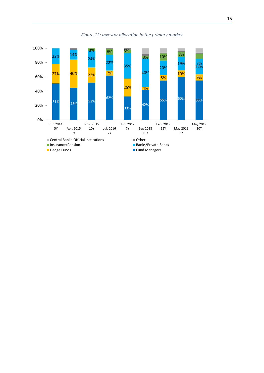

*Figure 12: Investor allocation in the primary market*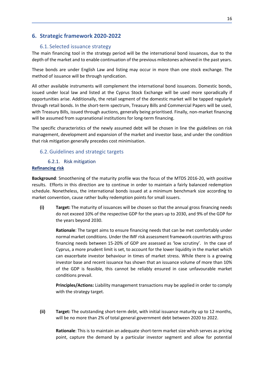# <span id="page-16-1"></span><span id="page-16-0"></span>**6. Strategic framework 2020-2022**

# 6.1. Selected issuance strategy

The main financing tool in the strategy period will be the international bond issuances, due to the depth of the market and to enable continuation of the previous milestones achieved in the past years.

These bonds are under English Law and listing may occur in more than one stock exchange. The method of issuance will be through syndication.

All other available instruments will complement the international bond issuances. Domestic bonds, issued under local law and listed at the Cyprus Stock Exchange will be used more sporadically if opportunities arise. Additionally, the retail segment of the domestic market will be tapped regularly through retail bonds. In the short-term spectrum, Treasury Bills and Commercial Papers will be used, with Treasury Bills, issued through auctions, generally being prioritised. Finally, non-market financing will be assumed from supranational institutions for long-term financing.

The specific characteristics of the newly assumed debt will be chosen in line the guidelines on risk management, development and expansion of the market and investor base, and under the condition that risk mitigation generally precedes cost minimisation.

# <span id="page-16-2"></span>6.2.Guidelines and strategic targets

# 6.2.1. Risk mitigation

# <span id="page-16-3"></span>**Refinancing risk**

**Background**: Smoothening of the maturity profile was the focus of the MTDS 2016-20, with positive results. Efforts in this direction are to continue in order to maintain a fairly balanced redemption schedule. Nonetheless, the international bonds issued at a minimum benchmark size according to market convention, cause rather bulky redemption points for small issuers.

**(i) Target:** The maturity of issuances will be chosen so that the annual gross financing needs do not exceed 10% of the respective GDP for the years up to 2030, and 9% of the GDP for the years beyond 2030.

**Rationale**: The target aims to ensure financing needs that can be met comfortably under normal market conditions. Under the IMF risk assessment framework countries with gross financing needs between 15-20% of GDP are assessed as 'low scrutiny'. In the case of Cyprus, a more prudent limit is set, to account for the lower liquidity in the market which can exacerbate investor behaviour in times of market stress. While there is a growing investor base and recent issuance has shown that an issuance volume of more than 10% of the GDP is feasible, this cannot be reliably ensured in case unfavourable market conditions prevail.

**Principles/Actions:** Liability management transactions may be applied in order to comply with the strategy target.

**(ii) Target:** The outstanding short-term debt, with initial issuance maturity up to 12 months, will be no more than 2% of total general government debt between 2020 to 2022.

**Rationale**: This is to maintain an adequate short-term market size which serves as pricing point, capture the demand by a particular investor segment and allow for potential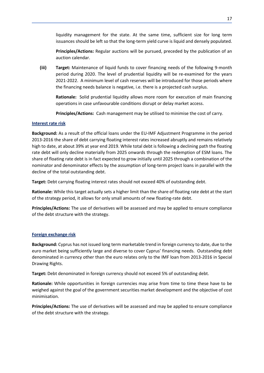liquidity management for the state. At the same time, sufficient size for long term issuances should be left so that the long-term yield curve is liquid and densely populated.

**Principles/Actions:** Regular auctions will be pursued, preceded by the publication of an auction calendar.

**(iii) Target:** Maintenance of liquid funds to cover financing needs of the following 9-month period during 2020. The level of prudential liquidity will be re-examined for the years 2021-2022. A minimum level of cash reserves will be introduced for those periods where the financing needs balance is negative, i.e. there is a projected cash surplus.

**Rationale:** Solid prudential liquidity allows more room for execution of main financing operations in case unfavourable conditions disrupt or delay market access.

**Principles/Actions:** Cash management may be utilised to minimise the cost of carry.

## **Interest rate risk**

**Background:** As a result of the official loans under the EU-IMF Adjustment Programme in the period 2013-2016 the share of debt carrying floating interest rates increased abruptly and remains relatively high to date, at about 39% at year end 2019. While total debt is following a declining path the floating rate debt will only decline materially from 2025 onwards through the redemption of ESM loans. The share of floating rate debt is in fact expected to grow initially until 2025 through a combination of the nominator and denominator effects by the assumption of long-term project loans in parallel with the decline of the total outstanding debt.

**Target:** Debt carrying floating interest rates should not exceed 40% of outstanding debt.

**Rationale:** While this target actually sets a higher limit than the share of floating rate debt at the start of the strategy period, it allows for only small amounts of new floating-rate debt.

**Principles/Actions:** The use of derivatives will be assessed and may be applied to ensure compliance of the debt structure with the strategy.

# **Foreign exchange risk**

**Background:** Cyprus has not issued long term marketable trend in foreign currency to date, due to the euro market being sufficiently large and diverse to cover Cyprus' financing needs. Outstanding debt denominated in currency other than the euro relates only to the IMF loan from 2013-2016 in Special Drawing Rights.

**Target:** Debt denominated in foreign currency should not exceed 5% of outstanding debt.

**Rationale:** While opportunities in foreign currencies may arise from time to time these have to be weighed against the goal of the government securities market development and the objective of cost minimisation.

**Principles/Actions:** The use of derivatives will be assessed and may be applied to ensure compliance of the debt structure with the strategy.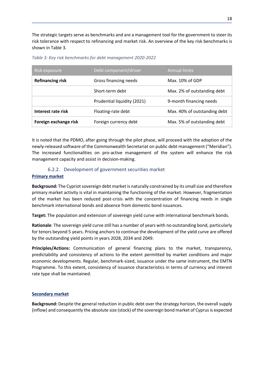The strategic targets serve as benchmarks and are a management tool for the government to steer its risk tolerance with respect to refinancing and market risk. An overview of the key risk benchmarks is shown in Table 3.

| Risk exposure           | Debt component/driver       | <b>Annual limits</b>         |
|-------------------------|-----------------------------|------------------------------|
| <b>Refinancing risk</b> | Gross financing needs       | Max. 10% of GDP              |
|                         | Short-term debt             | Max. 2% of outstanding debt  |
|                         | Prudential liquidity (2021) | 9-month financing needs      |
| Interest rate risk      | Floating-rate debt          | Max. 40% of outstanding debt |
| Foreign exchange risk   | Foreign currency debt       | Max. 5% of outstanding debt  |

*Table 3: Key risk benchmarks for debt management 2020-2022*

It is noted that the PDMO, after going through the pilot phase, will proceed with the adoption of the newly-released software of the Commonwealth Secretariat on public debt management ("Meridian"). The increased functionalities on pro-active management of the system will enhance the risk management capacity and assist in decision-making.

# 6.2.2. Development of government securities market

# <span id="page-18-0"></span>**Primary market**

**Background:** The Cypriot sovereign debt market is naturally constrained by its small size and therefore primary market activity is vital in maintaining the functioning of the market. However, fragmentation of the market has been reduced post-crisis with the concentration of financing needs in single benchmark international bonds and absence from domestic bond issuances.

**Target:** The population and extension of sovereign yield curve with international benchmark bonds.

**Rationale**: The sovereign yield curve still has a number of years with no outstanding bond, particularly for tenors beyond 5 years. Pricing anchors to continue the development of the yield curve are offered by the outstanding yield points in years 2028, 2034 and 2049.

**Principles/Actions:** Communication of general financing plans to the market, transparency, predictability and consistency of actions to the extent permitted by market conditions and major economic developments. Regular, benchmark-sized, issuance under the same instrument, the EMTN Programme. To this extent, consistency of issuance characteristics in terms of currency and interest rate type shall be maintained.

## **Secondary market**

**Background:** Despite the general reduction in public debt over the strategy horizon, the overall supply (inflow) and consequently the absolute size (stock) of the sovereign bond market of Cyprus is expected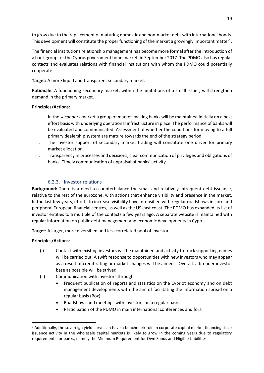to grow due to the replacement of maturing domestic and non-market debt with international bonds. This development will constitute the proper functioning of the market a growingly important matter<sup>1</sup>.

The financial institutions relationship management has become more formal after the introduction of a bank group for the Cyprus government bond market, in September 2017. The PDMO also has regular contacts and evaluates relations with financial institutions with whom the PDMO could potentially cooperate.

# **Target:** A more liquid and transparent secondary market.

**Rationale:** A functioning secondary market, within the limitations of a small issuer, will strengthen demand in the primary market.

# **Principles/Actions:**

- i. In the *secondary* market a group of market-making banks will be maintained initially on a best effort basis with underlying operational infrastructure in place. The performance of banks will be evaluated and communicated. Assessment of whether the conditions for moving to a full primary dealership system are mature towards the end of the strategy period.
- ii. The investor support of secondary market trading will constitute one driver for primary market allocation.
- iii. Transparency in processes and decisions, clear communication of privileges and obligations of banks. Timely communication of appraisal of banks' activity.

# 6.2.3. Investor relations

<span id="page-19-0"></span>**Background:** There is a need to counterbalance the small and relatively infrequent debt issuance, relative to the rest of the eurozone, with actions that enhance visibility and presence in the market. In the last few years, efforts to increase visibility have intensified with regular roadshows in core and peripheral European financial centres, as well as the US east coast. The PDMO has expanded its list of investor entities to a multiple of the contacts a few years ago. A separate website is maintained with regular information on public debt management and economic developments in Cyprus.

**Target**: A larger, more diversified and less correlated pool of investors

# **Principles/Actions**:

**.** 

- (i) Contact with existing investors will be maintained and activity to track supporting names will be carried out. A swift response to opportunities with new investors who may appear as a result of credit rating or market changes will be aimed. Overall, a broader investor base as possible will be strived.
- (ii) Communication with investors through
	- Frequent publication of reports and statistics on the Cypriot economy and on debt management developments with the aim of facilitating the information spread on a regular basis (Box)
	- Roadshows and meetings with investors on a regular basis
	- Participation of the PDMO in main international conferences and fora

 $1$  Additionally, the sovereign yield curve can have a benchmark role in corporate capital market financing since issuance activity in the wholesale capital markets is likely to grow in the coming years due to regulatory requirements for banks, namely the Minimum Requirement for Own Funds and Eligible Liabilities.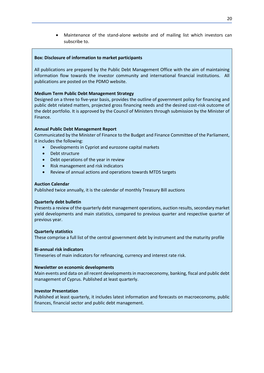• Maintenance of the stand-alone website and of mailing list which investors can subscribe to.

## **Box: Disclosure of information to market participants**

All publications are prepared by the Public Debt Management Office with the aim of maintaining information flow towards the investor community and international financial institutions. All publications are posted on the PDMO website.

# **Medium Term Public Debt Management Strategy**

Designed on a three to five-year basis, provides the outline of government policy for financing and public debt related matters, projected gross financing needs and the desired cost-risk outcome of the debt portfolio. It is approved by the Council of Ministers through submission by the Minister of Finance.

# **Annual Public Debt Management Report**

Communicated by the Minister of Finance to the Budget and Finance Committee of the Parliament, it includes the following:

- Developments in Cypriot and eurozone capital markets
- Debt structure
- Debt operations of the year in review
- Risk management and risk indicators
- Review of annual actions and operations towards MTDS targets

## **Auction Calendar**

Published twice annually, it is the calendar of monthly Treasury Bill auctions

## **Quarterly debt bulletin**

Presents a review of the quarterly debt management operations, auction results, secondary market yield developments and main statistics, compared to previous quarter and respective quarter of previous year.

## **Quarterly statistics**

These comprise a full list of the central government debt by instrument and the maturity profile

# **Bi-annual risk indicators**

Timeseries of main indicators for refinancing, currency and interest rate risk.

## **Newsletter on economic developments**

Main events and data on all recent developments in macroeconomy, banking, fiscal and public debt management of Cyprus. Published at least quarterly.

## **Investor Presentation**

Published at least quarterly, it includes latest information and forecasts on macroeconomy, public finances, financial sector and public debt management.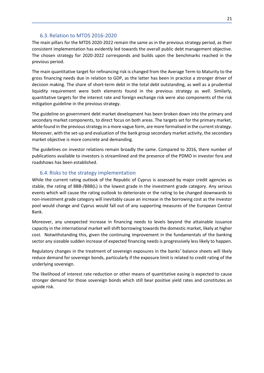# 6.3. Relation to MTDS 2016-2020

<span id="page-21-0"></span>The main pillars for the MTDS 2020-2022 remain the same as in the previous strategy period, as their consistent implementation has evidently led towards the overall public debt management objective. The chosen strategy for 2020-2022 corresponds and builds upon the benchmarks reached in the previous period.

The main quantitative target for refinancing risk is changed from the Average Term to Maturity to the gross financing needs due in relation to GDP, as the latter has been in practice a stronger driver of decision making. The share of short-term debt in the total debt outstanding, as well as a prudential liquidity requirement were both elements found in the previous strategy as well. Similarly, quantitative targets for the interest rate and foreign exchange risk were also components of the risk mitigation guideline in the previous strategy.

The guideline on government debt market development has been broken down into the primary and secondary market components, to direct focus on both areas. The targets set for the primary market, while found in the previous strategy in a more vague form, are more formalised in the current strategy. Moreover, with the set-up and evaluation of the bank group secondary market activity, the secondary market objective is more concrete and demanding.

The guidelines on investor relations remain broadly the same. Compared to 2016, there number of publications available to investors is streamlined and the presence of the PDMO in investor fora and roadshows has been established.

# 6.4. Risks to the strategy implementation

<span id="page-21-1"></span>While the current rating outlook of the Republic of Cyprus is assessed by major credit agencies as stable, the rating of BBB-/BBB(L) is the lowest grade in the investment grade category. Any serious events which will cause the rating outlook to deteriorate or the rating to be changed downwards to non-investment grade category will inevitably cause an increase in the borrowing cost as the investor pool would change and Cyprus would fall out of any supporting measures of the European Central Bank.

Moreover, any unexpected increase in financing needs to levels beyond the attainable issuance capacity in the international market will shift borrowing towards the domestic market, likely at higher cost. Notwithstanding this, given the continuing improvement in the fundamentals of the banking sector any sizeable sudden increase of expected financing needs is progressively less likely to happen.

Regulatory changes in the treatment of sovereign exposures in the banks' balance sheets will likely reduce demand for sovereign bonds, particularly if the exposure limit is related to credit rating of the underlying sovereign.

The likelihood of interest rate reduction or other means of quantitative easing is expected to cause stronger demand for those sovereign bonds which still bear positive yield rates and constitutes an upside risk.